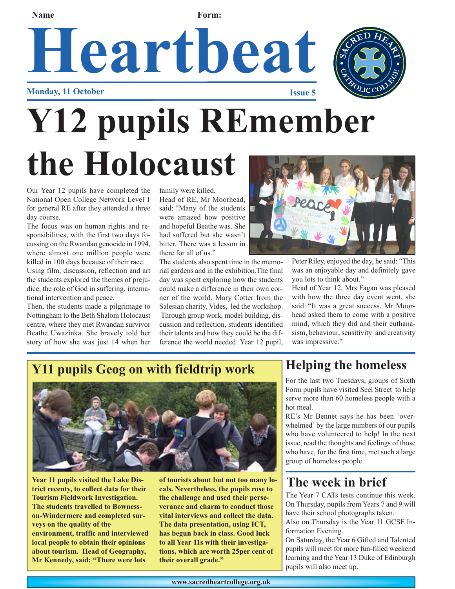#### Name **Form:**

### Heartbeat **Monday, 11 October**



# **Y12 pupils REmember the Holocaust**

Our Year 12 pupils have completed the National Open College Network Level 1 for general RE after they attended a three day course.

The focus was on human rights and responsibilities, with the first two days focussing on the Rwandan genocide in 1994, where almost one million people were killed in 100 days because of their race. Using film, discussion, reflection and art

the students explored the themes of prejudice, the role of God in suffering, international intervention and peace.

Then, the students made a pilgrimage to Nottingham to the Beth Shalom Holocaust centre, where they met Rwandan survivor Beathe Uwazinka. She bravely told her story of how she was just 14 when her family were killed.

Head of RE, Mr Moorhead, said: "Many of the students were amazed how positive and hopeful Beathe was. She had suffered but she wasn't bitter. There was a lesson in there for all of us."

The students also spent time in the memorial gardens and in the exhibition.The final day was spent exploring how the students could make a difference in their own corner of the world. Mary Cotter from the Salesian charity, Vides, led the workshop. Through group work, model building, discussion and reflection, students identified their talents and how they could be the difference the world needed. Year 12 pupil,



Peter Riley, enjoyed the day, he said: "This was an enjoyable day and definitely gave you lots to think about."

Head of Year 12, Mrs Fagan was pleased with how the three day event went, she said: "It was a great success. Mr Moorhead asked them to come with a positive mind, which they did and their euthanasism, behaviour, sensitivity and creativity was impressive."

#### **Y11 pupils Geog on with fieldtrip work**



**Year 11 pupils visited the Lake District recenty, to collect data for their Tourism Fieldwork Investigation. The students travelled to Bownesson-Windermere and completed surveys on the quality of the environment, traffic and interviewed local people to obtain their opinions about tourism. Head of Geography, Mr Kennedy, said: "There were lots**

**of tourists about but not too many locals. Nevertheless, the pupils rose to the challenge and used their perseverance and charm to conduct those vital interviews and collect the data. The data presentation, using ICT, has begun back in class. Good luck to all Year 11s with their investigations, which are worth 25per cent of their overall grade."**

### **Helping the homeless**

For the last two Tuesdays, groups of Sixth Form pupils have visited Seel Street to help serve more than 60 homeless people with a hot meal.

RE's Mr Bennet says he has been 'overwhelmed' by the large numbers of our pupils who have volunteered to help! In the next issue, read the thoughts and feelings of those who have, for the first time, met such a large group of homeless people.

#### **The week in brief**

The Year 7 CATs tests continue this week. On Thursday, pupils from Years 7 and 9 will have their school photographs taken.

Also on Thursday is the Year 11 GCSE Information Evening.

On Saturday, the Year 6 Gifted and Talented pupils will meet for more fun-filled weekend learning and the Year 13 Duke of Edinburgh pupils will also meet up.